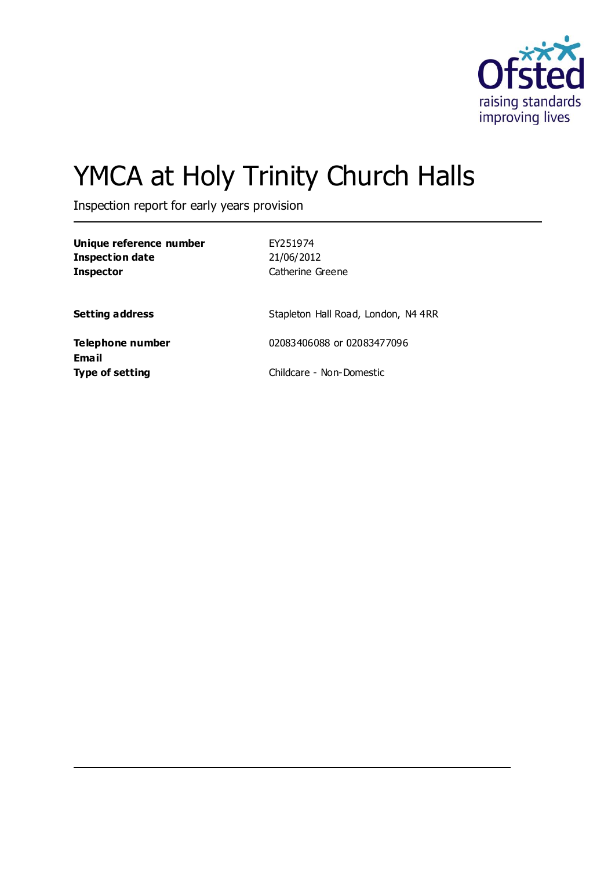

# YMCA at Holy Trinity Church Halls

Inspection report for early years provision

| Unique reference number<br><b>Inspection date</b><br><b>Inspector</b> | EY251974<br>21/06/2012<br>Catherine Greene |
|-----------------------------------------------------------------------|--------------------------------------------|
| <b>Setting address</b>                                                | Stapleton Hall Road, London, N4 4RR        |
| Telephone number<br>Email                                             | 02083406088 or 02083477096                 |
| <b>Type of setting</b>                                                | Childcare - Non-Domestic                   |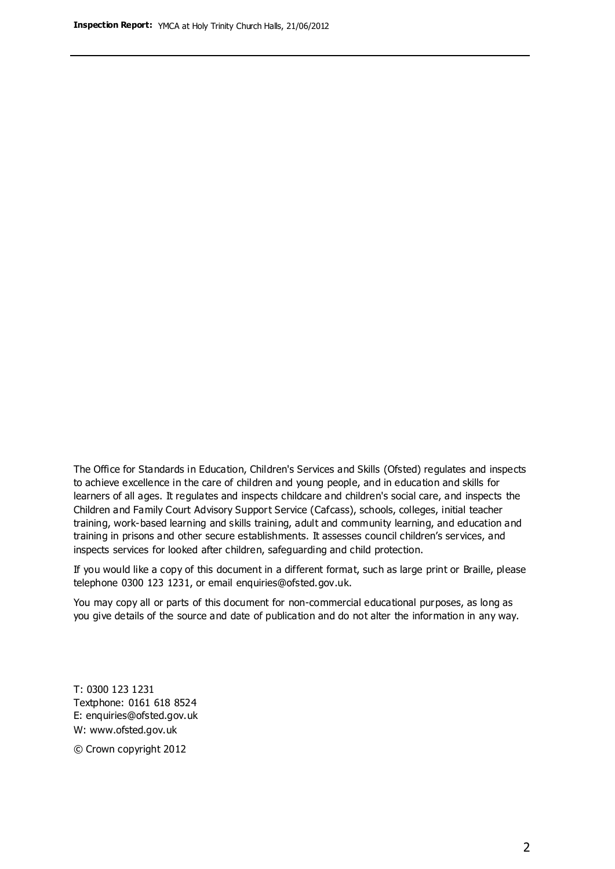The Office for Standards in Education, Children's Services and Skills (Ofsted) regulates and inspects to achieve excellence in the care of children and young people, and in education and skills for learners of all ages. It regulates and inspects childcare and children's social care, and inspects the Children and Family Court Advisory Support Service (Cafcass), schools, colleges, initial teacher training, work-based learning and skills training, adult and community learning, and education and training in prisons and other secure establishments. It assesses council children's services, and inspects services for looked after children, safeguarding and child protection.

If you would like a copy of this document in a different format, such as large print or Braille, please telephone 0300 123 1231, or email enquiries@ofsted.gov.uk.

You may copy all or parts of this document for non-commercial educational purposes, as long as you give details of the source and date of publication and do not alter the information in any way.

T: 0300 123 1231 Textphone: 0161 618 8524 E: enquiries@ofsted.gov.uk W: [www.ofsted.gov.uk](http://www.ofsted.gov.uk/)

© Crown copyright 2012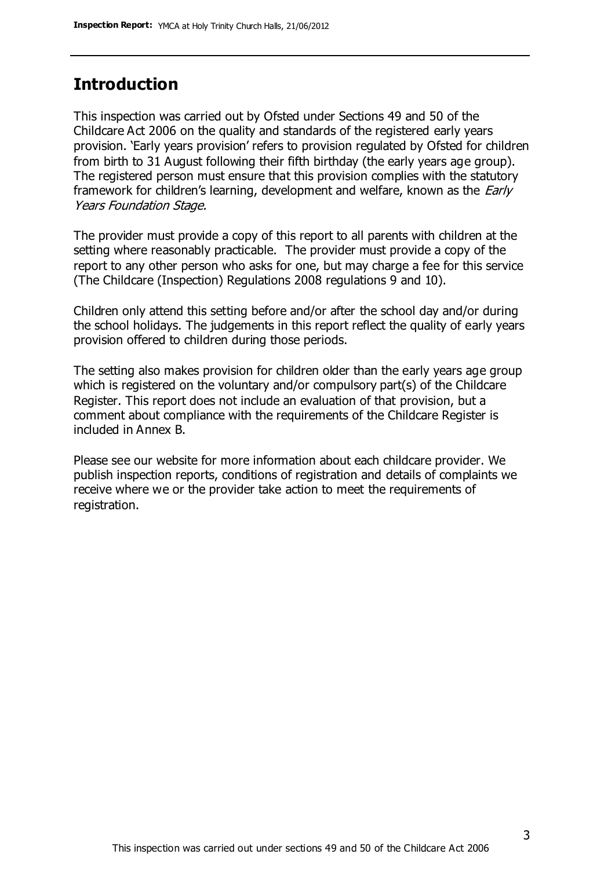## **Introduction**

This inspection was carried out by Ofsted under Sections 49 and 50 of the Childcare Act 2006 on the quality and standards of the registered early years provision. 'Early years provision' refers to provision regulated by Ofsted for children from birth to 31 August following their fifth birthday (the early years age group). The registered person must ensure that this provision complies with the statutory framework for children's learning, development and welfare, known as the *Early* Years Foundation Stage.

The provider must provide a copy of this report to all parents with children at the setting where reasonably practicable. The provider must provide a copy of the report to any other person who asks for one, but may charge a fee for this service (The Childcare (Inspection) Regulations 2008 regulations 9 and 10).

Children only attend this setting before and/or after the school day and/or during the school holidays. The judgements in this report reflect the quality of early years provision offered to children during those periods.

The setting also makes provision for children older than the early years age group which is registered on the voluntary and/or compulsory part(s) of the Childcare Register. This report does not include an evaluation of that provision, but a comment about compliance with the requirements of the Childcare Register is included in Annex B.

Please see our website for more information about each childcare provider. We publish inspection reports, conditions of registration and details of complaints we receive where we or the provider take action to meet the requirements of registration.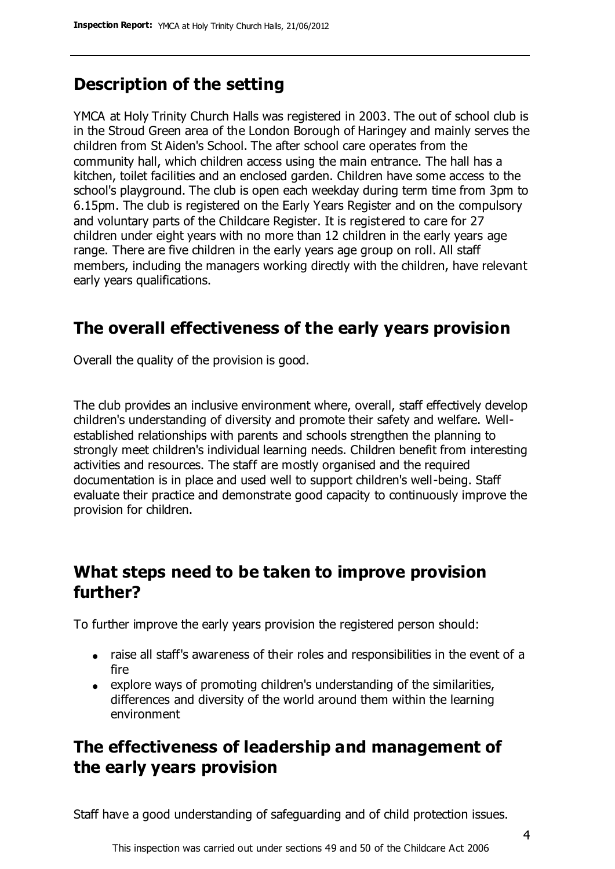# **Description of the setting**

YMCA at Holy Trinity Church Halls was registered in 2003. The out of school club is in the Stroud Green area of the London Borough of Haringey and mainly serves the children from St Aiden's School. The after school care operates from the community hall, which children access using the main entrance. The hall has a kitchen, toilet facilities and an enclosed garden. Children have some access to the school's playground. The club is open each weekday during term time from 3pm to 6.15pm. The club is registered on the Early Years Register and on the compulsory and voluntary parts of the Childcare Register. It is registered to care for 27 children under eight years with no more than 12 children in the early years age range. There are five children in the early years age group on roll. All staff members, including the managers working directly with the children, have relevant early years qualifications.

# **The overall effectiveness of the early years provision**

Overall the quality of the provision is good.

The club provides an inclusive environment where, overall, staff effectively develop children's understanding of diversity and promote their safety and welfare. Wellestablished relationships with parents and schools strengthen the planning to strongly meet children's individual learning needs. Children benefit from interesting activities and resources. The staff are mostly organised and the required documentation is in place and used well to support children's well-being. Staff evaluate their practice and demonstrate good capacity to continuously improve the provision for children.

## **What steps need to be taken to improve provision further?**

To further improve the early years provision the registered person should:

- raise all staff's awareness of their roles and responsibilities in the event of a fire
- explore ways of promoting children's understanding of the similarities, differences and diversity of the world around them within the learning environment

# **The effectiveness of leadership and management of the early years provision**

Staff have a good understanding of safeguarding and of child protection issues.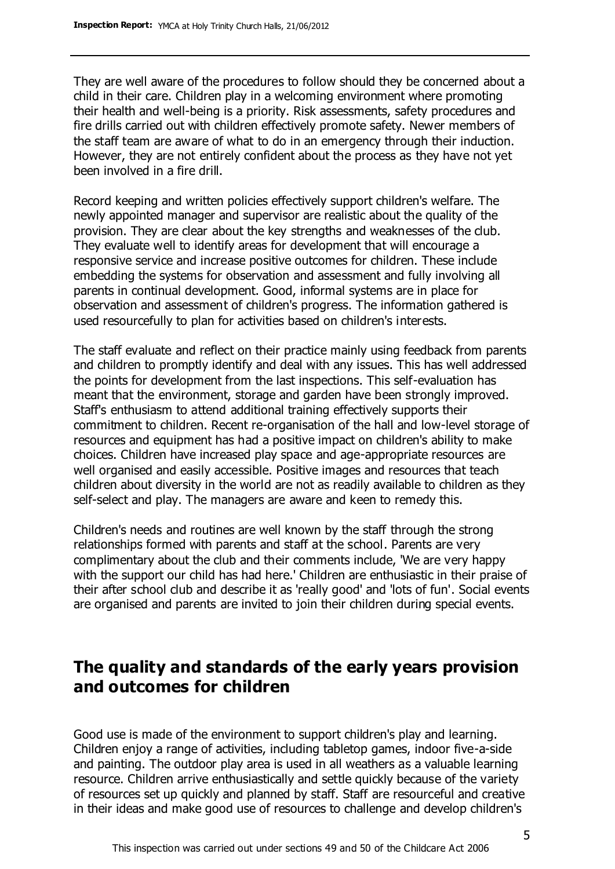They are well aware of the procedures to follow should they be concerned about a child in their care. Children play in a welcoming environment where promoting their health and well-being is a priority. Risk assessments, safety procedures and fire drills carried out with children effectively promote safety. Newer members of the staff team are aware of what to do in an emergency through their induction. However, they are not entirely confident about the process as they have not yet been involved in a fire drill.

Record keeping and written policies effectively support children's welfare. The newly appointed manager and supervisor are realistic about the quality of the provision. They are clear about the key strengths and weaknesses of the club. They evaluate well to identify areas for development that will encourage a responsive service and increase positive outcomes for children. These include embedding the systems for observation and assessment and fully involving all parents in continual development. Good, informal systems are in place for observation and assessment of children's progress. The information gathered is used resourcefully to plan for activities based on children's interests.

The staff evaluate and reflect on their practice mainly using feedback from parents and children to promptly identify and deal with any issues. This has well addressed the points for development from the last inspections. This self-evaluation has meant that the environment, storage and garden have been strongly improved. Staff's enthusiasm to attend additional training effectively supports their commitment to children. Recent re-organisation of the hall and low-level storage of resources and equipment has had a positive impact on children's ability to make choices. Children have increased play space and age-appropriate resources are well organised and easily accessible. Positive images and resources that teach children about diversity in the world are not as readily available to children as they self-select and play. The managers are aware and keen to remedy this.

Children's needs and routines are well known by the staff through the strong relationships formed with parents and staff at the school. Parents are very complimentary about the club and their comments include, 'We are very happy with the support our child has had here.' Children are enthusiastic in their praise of their after school club and describe it as 'really good' and 'lots of fun'. Social events are organised and parents are invited to join their children during special events.

## **The quality and standards of the early years provision and outcomes for children**

Good use is made of the environment to support children's play and learning. Children enjoy a range of activities, including tabletop games, indoor five-a-side and painting. The outdoor play area is used in all weathers as a valuable learning resource. Children arrive enthusiastically and settle quickly because of the variety of resources set up quickly and planned by staff. Staff are resourceful and creative in their ideas and make good use of resources to challenge and develop children's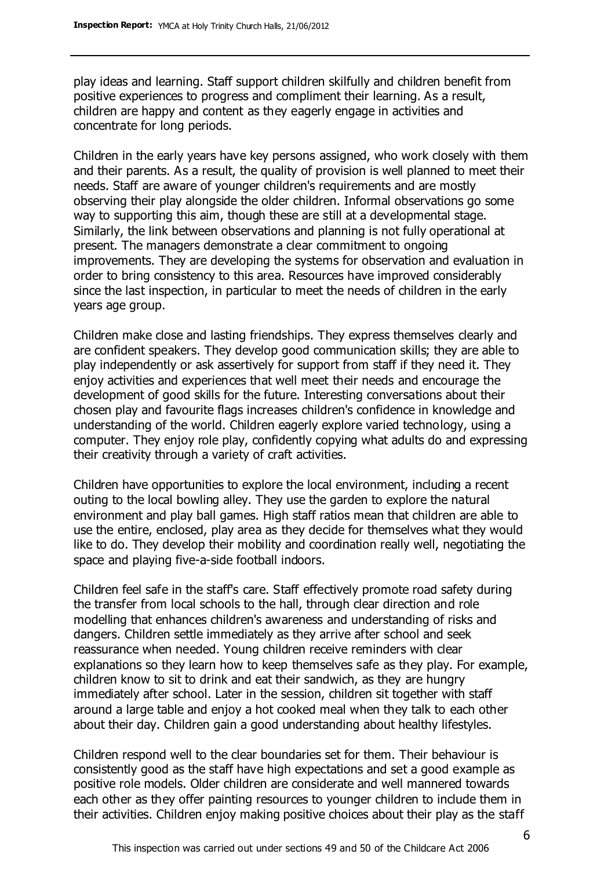play ideas and learning. Staff support children skilfully and children benefit from positive experiences to progress and compliment their learning. As a result, children are happy and content as they eagerly engage in activities and concentrate for long periods.

Children in the early years have key persons assigned, who work closely with them and their parents. As a result, the quality of provision is well planned to meet their needs. Staff are aware of younger children's requirements and are mostly observing their play alongside the older children. Informal observations go some way to supporting this aim, though these are still at a developmental stage. Similarly, the link between observations and planning is not fully operational at present. The managers demonstrate a clear commitment to ongoing improvements. They are developing the systems for observation and evaluation in order to bring consistency to this area. Resources have improved considerably since the last inspection, in particular to meet the needs of children in the early years age group.

Children make close and lasting friendships. They express themselves clearly and are confident speakers. They develop good communication skills; they are able to play independently or ask assertively for support from staff if they need it. They enjoy activities and experiences that well meet their needs and encourage the development of good skills for the future. Interesting conversations about their chosen play and favourite flags increases children's confidence in knowledge and understanding of the world. Children eagerly explore varied technology, using a computer. They enjoy role play, confidently copying what adults do and expressing their creativity through a variety of craft activities.

Children have opportunities to explore the local environment, including a recent outing to the local bowling alley. They use the garden to explore the natural environment and play ball games. High staff ratios mean that children are able to use the entire, enclosed, play area as they decide for themselves what they would like to do. They develop their mobility and coordination really well, negotiating the space and playing five-a-side football indoors.

Children feel safe in the staff's care. Staff effectively promote road safety during the transfer from local schools to the hall, through clear direction and role modelling that enhances children's awareness and understanding of risks and dangers. Children settle immediately as they arrive after school and seek reassurance when needed. Young children receive reminders with clear explanations so they learn how to keep themselves safe as they play. For example, children know to sit to drink and eat their sandwich, as they are hungry immediately after school. Later in the session, children sit together with staff around a large table and enjoy a hot cooked meal when they talk to each other about their day. Children gain a good understanding about healthy lifestyles.

Children respond well to the clear boundaries set for them. Their behaviour is consistently good as the staff have high expectations and set a good example as positive role models. Older children are considerate and well mannered towards each other as they offer painting resources to younger children to include them in their activities. Children enjoy making positive choices about their play as the staff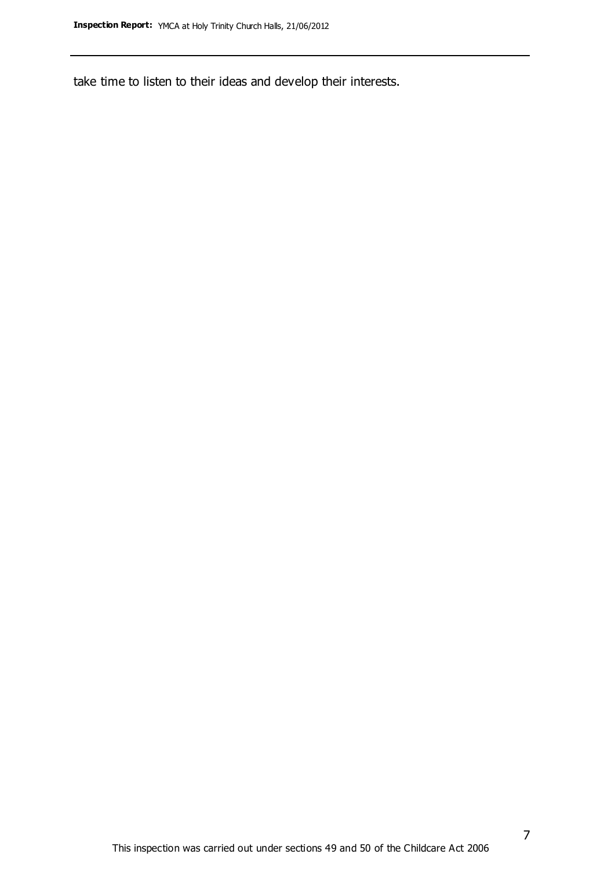take time to listen to their ideas and develop their interests.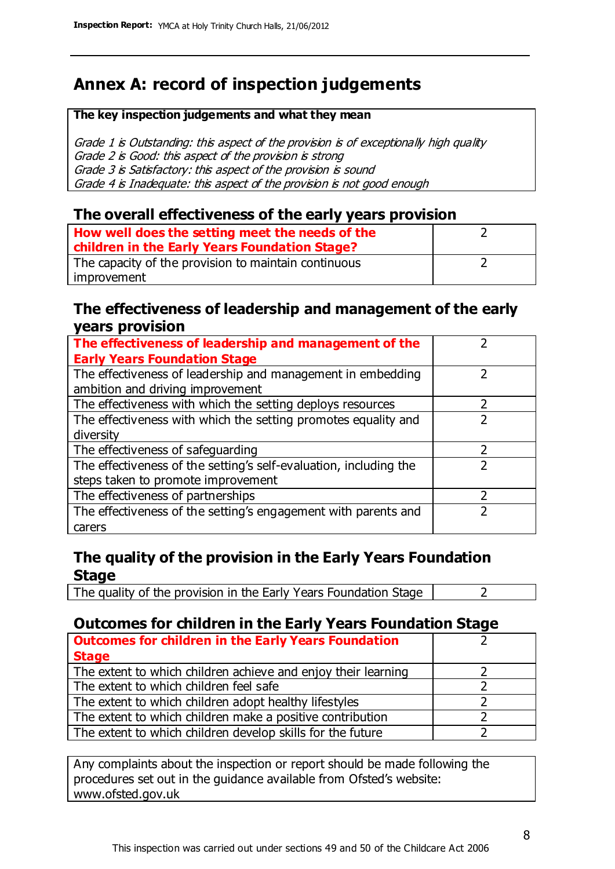# **Annex A: record of inspection judgements**

#### **The key inspection judgements and what they mean**

Grade 1 is Outstanding: this aspect of the provision is of exceptionally high quality Grade 2 is Good: this aspect of the provision is strong Grade 3 is Satisfactory: this aspect of the provision is sound Grade 4 is Inadequate: this aspect of the provision is not good enough

#### **The overall effectiveness of the early years provision**

| How well does the setting meet the needs of the<br>children in the Early Years Foundation Stage? |  |
|--------------------------------------------------------------------------------------------------|--|
| The capacity of the provision to maintain continuous                                             |  |
| improvement                                                                                      |  |

#### **The effectiveness of leadership and management of the early years provision**

| The effectiveness of leadership and management of the             |  |
|-------------------------------------------------------------------|--|
| <b>Early Years Foundation Stage</b>                               |  |
| The effectiveness of leadership and management in embedding       |  |
| ambition and driving improvement                                  |  |
| The effectiveness with which the setting deploys resources        |  |
| The effectiveness with which the setting promotes equality and    |  |
| diversity                                                         |  |
| The effectiveness of safeguarding                                 |  |
| The effectiveness of the setting's self-evaluation, including the |  |
| steps taken to promote improvement                                |  |
| The effectiveness of partnerships                                 |  |
| The effectiveness of the setting's engagement with parents and    |  |
| carers                                                            |  |

### **The quality of the provision in the Early Years Foundation Stage**

The quality of the provision in the Early Years Foundation Stage  $\vert$  2

## **Outcomes for children in the Early Years Foundation Stage**

| <b>Outcomes for children in the Early Years Foundation</b>    |  |
|---------------------------------------------------------------|--|
| <b>Stage</b>                                                  |  |
| The extent to which children achieve and enjoy their learning |  |
| The extent to which children feel safe                        |  |
| The extent to which children adopt healthy lifestyles         |  |
| The extent to which children make a positive contribution     |  |
| The extent to which children develop skills for the future    |  |

Any complaints about the inspection or report should be made following the procedures set out in the guidance available from Ofsted's website: www.ofsted.gov.uk